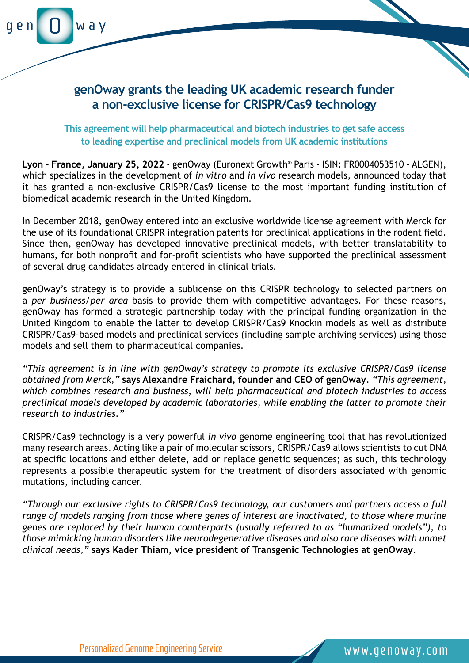

## **genOway grants the leading UK academic research funder a non-exclusive license for CRISPR/Cas9 technology**

**This agreement will help pharmaceutical and biotech industries to get safe access to leading expertise and preclinical models from UK academic institutions**

**Lyon - France, January 25, 2022** - genOway (Euronext Growth® Paris - ISIN: FR0004053510 - ALGEN), which specializes in the development of *in vitro* and *in vivo* research models, announced today that it has granted a non-exclusive CRISPR/Cas9 license to the most important funding institution of biomedical academic research in the United Kingdom.

In December 2018, genOway entered into an exclusive worldwide license agreement with Merck for the use of its foundational CRISPR integration patents for preclinical applications in the rodent field. Since then, genOway has developed innovative preclinical models, with better translatability to humans, for both nonprofit and for-profit scientists who have supported the preclinical assessment of several drug candidates already entered in clinical trials.

genOway's strategy is to provide a sublicense on this CRISPR technology to selected partners on a *per business/per area* basis to provide them with competitive advantages. For these reasons, genOway has formed a strategic partnership today with the principal funding organization in the United Kingdom to enable the latter to develop CRISPR/Cas9 Knockin models as well as distribute CRISPR/Cas9-based models and preclinical services (including sample archiving services) using those models and sell them to pharmaceutical companies.

*"This agreement is in line with genOway's strategy to promote its exclusive CRISPR/Cas9 license obtained from Merck,"* **says Alexandre Fraichard, founder and CEO of genOway**. *"This agreement, which combines research and business, will help pharmaceutical and biotech industries to access preclinical models developed by academic laboratories, while enabling the latter to promote their research to industries."*

CRISPR/Cas9 technology is a very powerful *in vivo* genome engineering tool that has revolutionized many research areas. Acting like a pair of molecular scissors, CRISPR/Cas9 allows scientists to cut DNA at specific locations and either delete, add or replace genetic sequences; as such, this technology represents a possible therapeutic system for the treatment of disorders associated with genomic mutations, including cancer.

*"Through our exclusive rights to CRISPR/Cas9 technology, our customers and partners access a full range of models ranging from those where genes of interest are inactivated, to those where murine genes are replaced by their human counterparts (usually referred to as "humanized models"), to those mimicking human disorders like neurodegenerative diseases and also rare diseases with unmet clinical needs,"* **says Kader Thiam, vice president of Transgenic Technologies at genOway**.